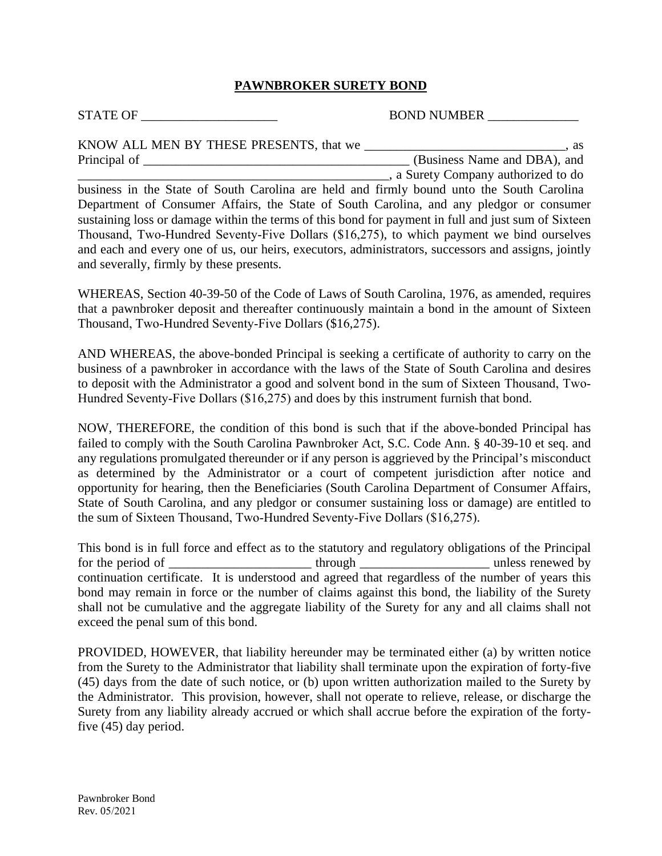## **PAWNBROKER SURETY BOND**

STATE OF \_\_\_\_\_\_\_\_\_\_\_\_\_\_\_\_\_\_\_\_\_ BOND NUMBER \_\_\_\_\_\_\_\_\_\_\_\_\_\_

| KNOW ALL MEN BY THESE PRESENTS, that we | as                                  |
|-----------------------------------------|-------------------------------------|
| Principal of                            | (Business Name and DBA), and        |
|                                         | , a Surety Company authorized to do |

business in the State of South Carolina are held and firmly bound unto the South Carolina Department of Consumer Affairs, the State of South Carolina, and any pledgor or consumer sustaining loss or damage within the terms of this bond for payment in full and just sum of Sixteen Thousand, Two-Hundred Seventy-Five Dollars (\$16,275), to which payment we bind ourselves and each and every one of us, our heirs, executors, administrators, successors and assigns, jointly and severally, firmly by these presents.

WHEREAS, Section 40-39-50 of the Code of Laws of South Carolina, 1976, as amended, requires that a pawnbroker deposit and thereafter continuously maintain a bond in the amount of Sixteen Thousand, Two-Hundred Seventy-Five Dollars (\$16,275).

AND WHEREAS, the above-bonded Principal is seeking a certificate of authority to carry on the business of a pawnbroker in accordance with the laws of the State of South Carolina and desires to deposit with the Administrator a good and solvent bond in the sum of Sixteen Thousand, Two-Hundred Seventy-Five Dollars (\$16,275) and does by this instrument furnish that bond.

NOW, THEREFORE, the condition of this bond is such that if the above-bonded Principal has failed to comply with the South Carolina Pawnbroker Act, S.C. Code Ann. § 40-39-10 et seq. and any regulations promulgated thereunder or if any person is aggrieved by the Principal's misconduct as determined by the Administrator or a court of competent jurisdiction after notice and opportunity for hearing, then the Beneficiaries (South Carolina Department of Consumer Affairs, State of South Carolina, and any pledgor or consumer sustaining loss or damage) are entitled to the sum of Sixteen Thousand, Two-Hundred Seventy-Five Dollars (\$16,275).

This bond is in full force and effect as to the statutory and regulatory obligations of the Principal for the period of \_\_\_\_\_\_\_\_\_\_\_\_\_\_\_\_\_\_\_\_\_\_\_\_\_ through \_\_\_\_\_\_\_\_\_\_\_\_\_\_\_\_\_\_\_\_\_\_\_\_\_\_\_\_ unless renewed by continuation certificate. It is understood and agreed that regardless of the number of years this bond may remain in force or the number of claims against this bond, the liability of the Surety shall not be cumulative and the aggregate liability of the Surety for any and all claims shall not exceed the penal sum of this bond.

PROVIDED, HOWEVER, that liability hereunder may be terminated either (a) by written notice from the Surety to the Administrator that liability shall terminate upon the expiration of forty-five (45) days from the date of such notice, or (b) upon written authorization mailed to the Surety by the Administrator. This provision, however, shall not operate to relieve, release, or discharge the Surety from any liability already accrued or which shall accrue before the expiration of the fortyfive (45) day period.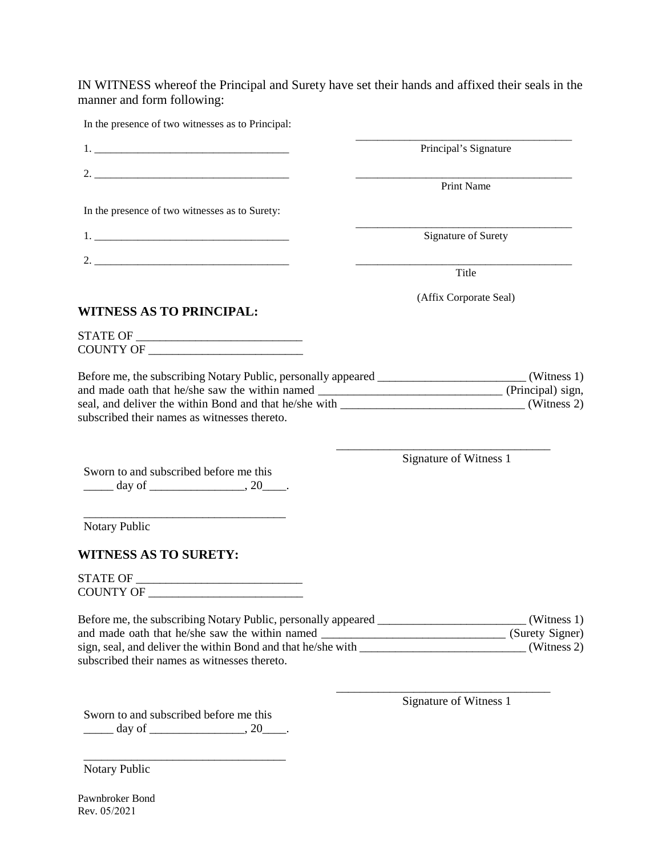IN WITNESS whereof the Principal and Surety have set their hands and affixed their seals in the manner and form following:

| In the presence of two witnesses as to Principal:                                                                                                                                                                                                                                                                                                                      |                        |
|------------------------------------------------------------------------------------------------------------------------------------------------------------------------------------------------------------------------------------------------------------------------------------------------------------------------------------------------------------------------|------------------------|
|                                                                                                                                                                                                                                                                                                                                                                        | Principal's Signature  |
|                                                                                                                                                                                                                                                                                                                                                                        | <b>Print Name</b>      |
| In the presence of two witnesses as to Surety:                                                                                                                                                                                                                                                                                                                         |                        |
|                                                                                                                                                                                                                                                                                                                                                                        | Signature of Surety    |
|                                                                                                                                                                                                                                                                                                                                                                        | Title                  |
| <b>WITNESS AS TO PRINCIPAL:</b>                                                                                                                                                                                                                                                                                                                                        | (Affix Corporate Seal) |
|                                                                                                                                                                                                                                                                                                                                                                        |                        |
| and made oath that he/she saw the within named __________________________________(Principal) sign,<br>subscribed their names as witnesses thereto.                                                                                                                                                                                                                     |                        |
| Sworn to and subscribed before me this                                                                                                                                                                                                                                                                                                                                 | Signature of Witness 1 |
| <u> 1989 - Johann Harry Harry Harry Harry Harry Harry Harry Harry Harry Harry Harry Harry Harry Harry Harry Harry</u><br>Notary Public                                                                                                                                                                                                                                 |                        |
| <b>WITNESS AS TO SURETY:</b>                                                                                                                                                                                                                                                                                                                                           |                        |
|                                                                                                                                                                                                                                                                                                                                                                        |                        |
| Before me, the subscribing Notary Public, personally appeared _____________________________(Witness 1)<br>and made oath that he/she saw the within named __________________________________(Surety Signer)<br>sign, seal, and deliver the within Bond and that he/she with ________________________________(Witness 2)<br>subscribed their names as witnesses thereto. |                        |
| Sworn to and subscribed before me this                                                                                                                                                                                                                                                                                                                                 | Signature of Witness 1 |

Notary Public

\_\_\_\_\_\_\_\_\_\_\_\_\_\_\_\_\_\_\_\_\_\_\_\_\_\_\_\_\_\_\_\_\_\_

Pawnbroker Bond Rev. 05/2021